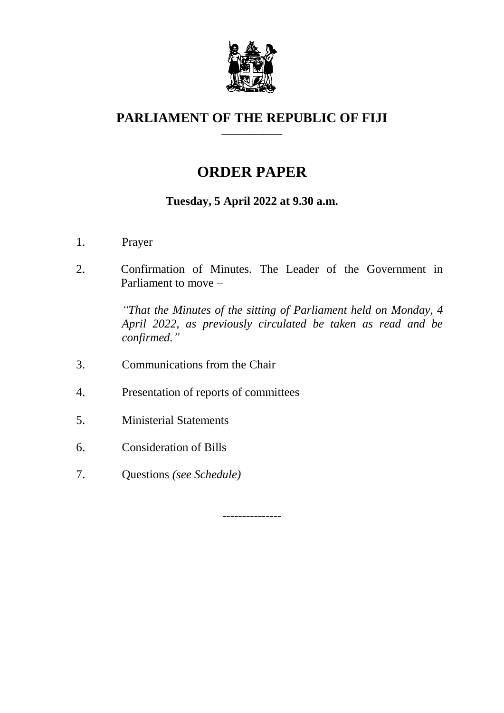

#### **PARLIAMENT OF THE REPUBLIC OF FIJI \_\_\_\_\_\_\_\_\_\_\_\_\_**

# **ORDER PAPER**

# **Tuesday, 5 April 2022 at 9.30 a.m.**

- 1. Prayer
- 2. Confirmation of Minutes. The Leader of the Government in Parliament to move –

*"That the Minutes of the sitting of Parliament held on Monday, 4 April 2022, as previously circulated be taken as read and be confirmed."*

- 3. Communications from the Chair
- 4. Presentation of reports of committees
- 5. Ministerial Statements
- 6. Consideration of Bills
- 7. Questions *(see Schedule)*

---------------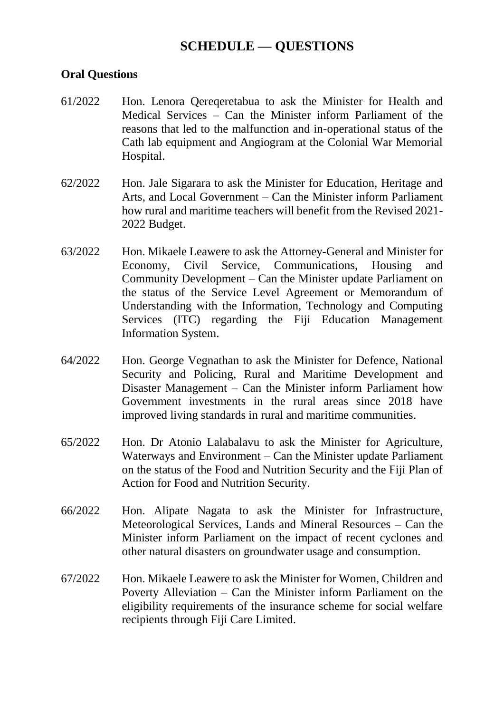## **SCHEDULE — QUESTIONS**

#### **Oral Questions**

- 61/2022 Hon. Lenora Qereqeretabua to ask the Minister for Health and Medical Services – Can the Minister inform Parliament of the reasons that led to the malfunction and in-operational status of the Cath lab equipment and Angiogram at the Colonial War Memorial Hospital.
- 62/2022 Hon. Jale Sigarara to ask the Minister for Education, Heritage and Arts, and Local Government – Can the Minister inform Parliament how rural and maritime teachers will benefit from the Revised 2021- 2022 Budget.
- 63/2022 Hon. Mikaele Leawere to ask the Attorney-General and Minister for Economy, Civil Service, Communications, Housing and Community Development – Can the Minister update Parliament on the status of the Service Level Agreement or Memorandum of Understanding with the Information, Technology and Computing Services (ITC) regarding the Fiji Education Management Information System.
- 64/2022 Hon. George Vegnathan to ask the Minister for Defence, National Security and Policing, Rural and Maritime Development and Disaster Management – Can the Minister inform Parliament how Government investments in the rural areas since 2018 have improved living standards in rural and maritime communities.
- 65/2022 Hon. Dr Atonio Lalabalavu to ask the Minister for Agriculture, Waterways and Environment – Can the Minister update Parliament on the status of the Food and Nutrition Security and the Fiji Plan of Action for Food and Nutrition Security.
- 66/2022 Hon. Alipate Nagata to ask the Minister for Infrastructure, Meteorological Services, Lands and Mineral Resources – Can the Minister inform Parliament on the impact of recent cyclones and other natural disasters on groundwater usage and consumption.
- 67/2022 Hon. Mikaele Leawere to ask the Minister for Women, Children and Poverty Alleviation – Can the Minister inform Parliament on the eligibility requirements of the insurance scheme for social welfare recipients through Fiji Care Limited.